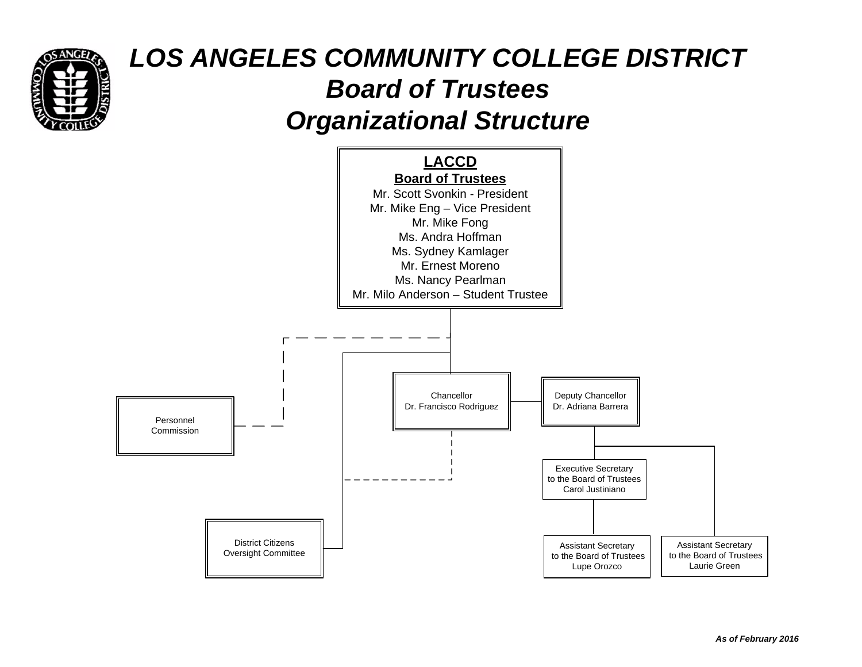

# *LOS ANGELES COMMUNITY COLLEGE DISTRICT Board of TrusteesOrganizational Structure*

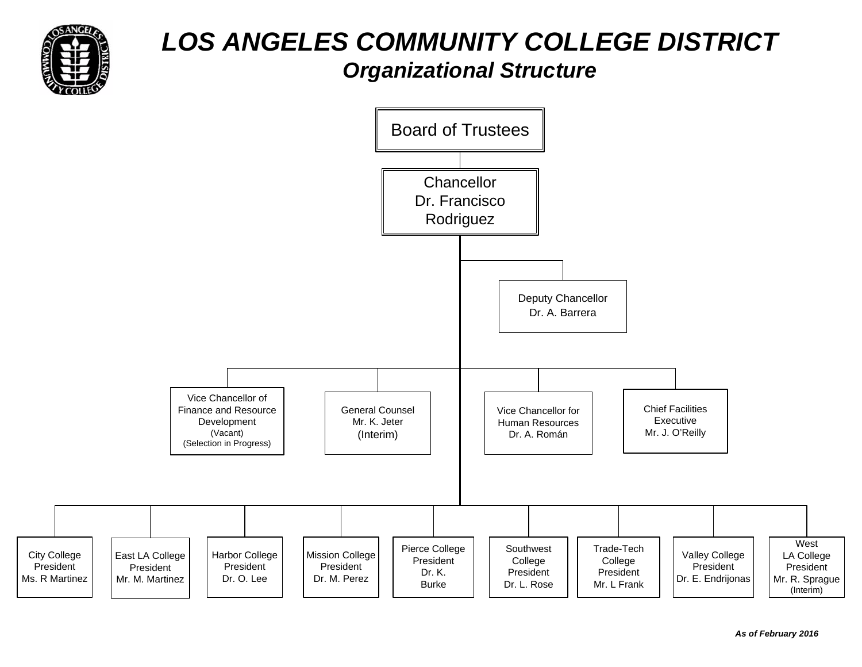

# *LOS ANGELES COMMUNITY COLLEGE DISTRICTOrganizational Structure*

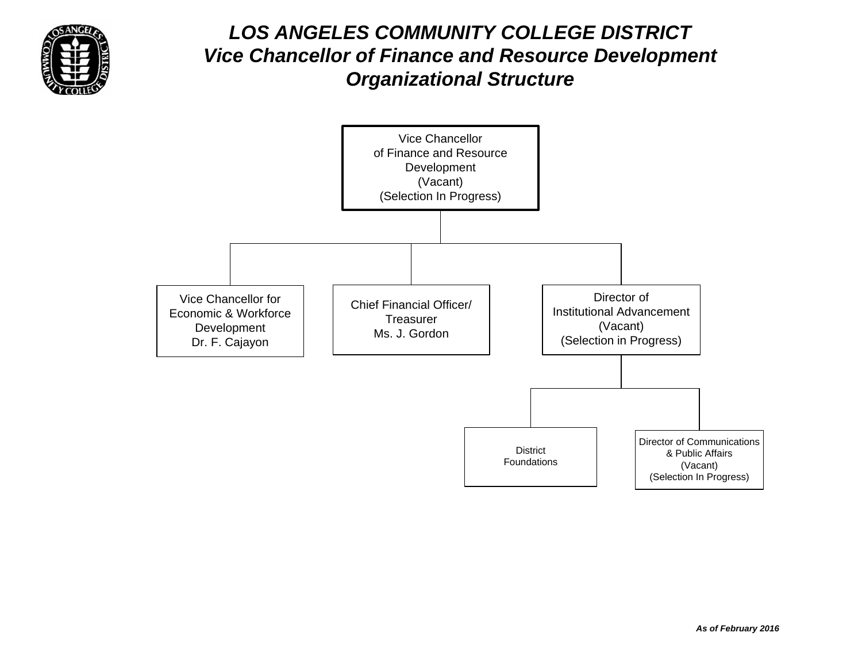

#### *LOS ANGELES COMMUNITY COLLEGE DISTRICTVice Chancellor of Finance and Resource Development Organizational Structure*

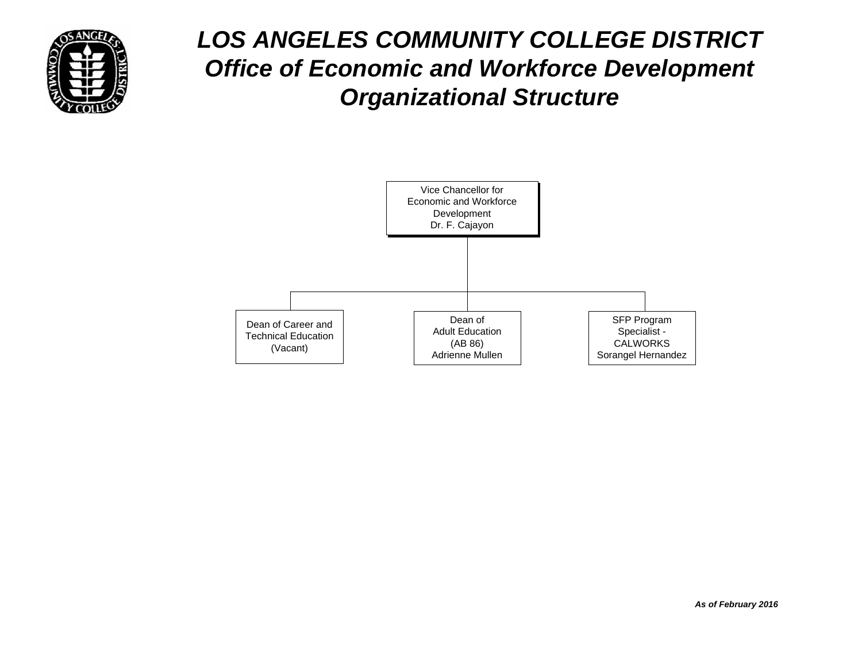

## *LOS ANGELES COMMUNITY COLLEGE DISTRICT Office of Economic and Workforce Development Organizational Structure*

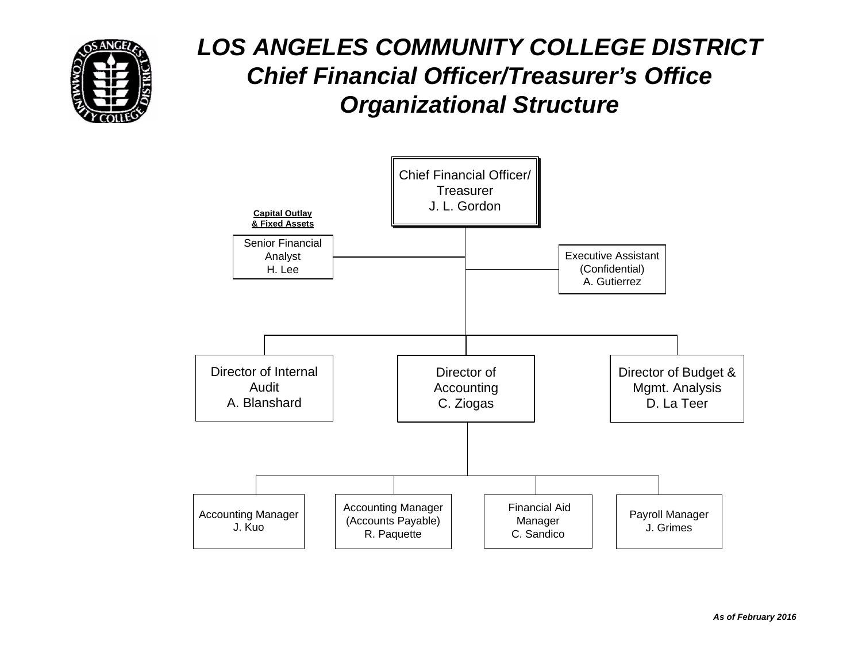

### *LOS ANGELES COMMUNITY COLLEGE DISTRICT Chief Financial Officer/Treasurer's OfficeOrganizational Structure*

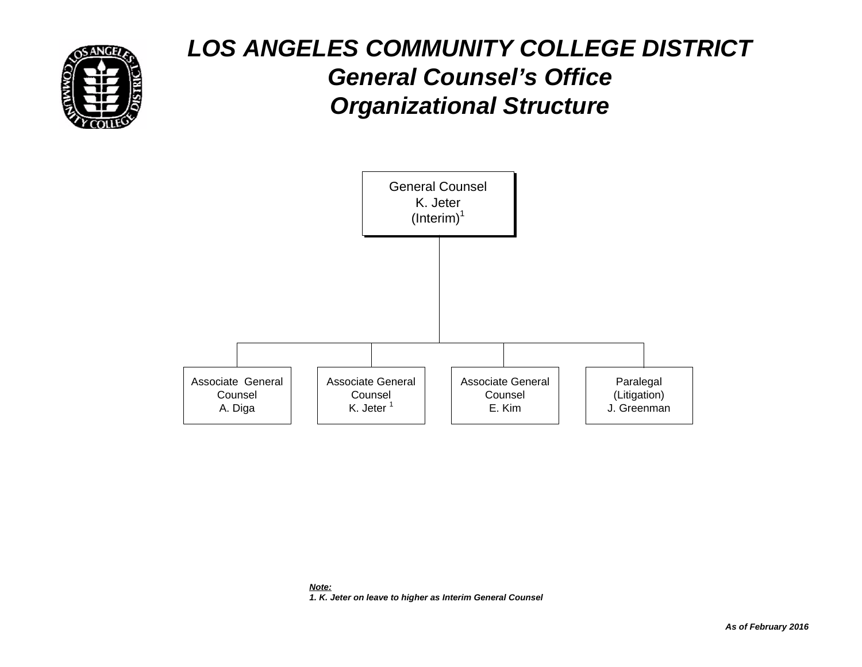

### *LOS ANGELES COMMUNITY COLLEGE DISTRICT General Counsel's Office Organizational Structure*

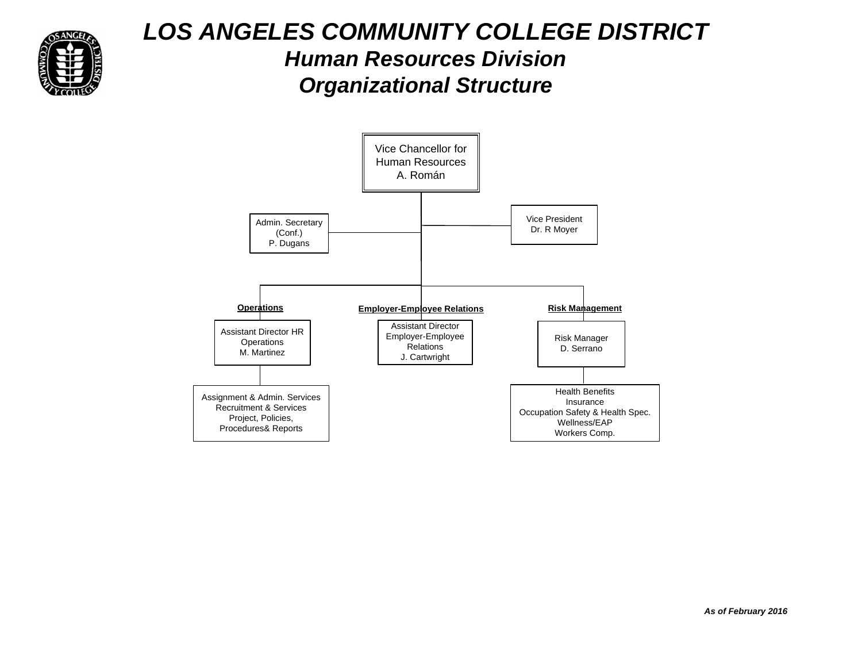

#### *LOS ANGELES COMMUNITY COLLEGE DISTRICT Human Resources Division Organizational Structure*

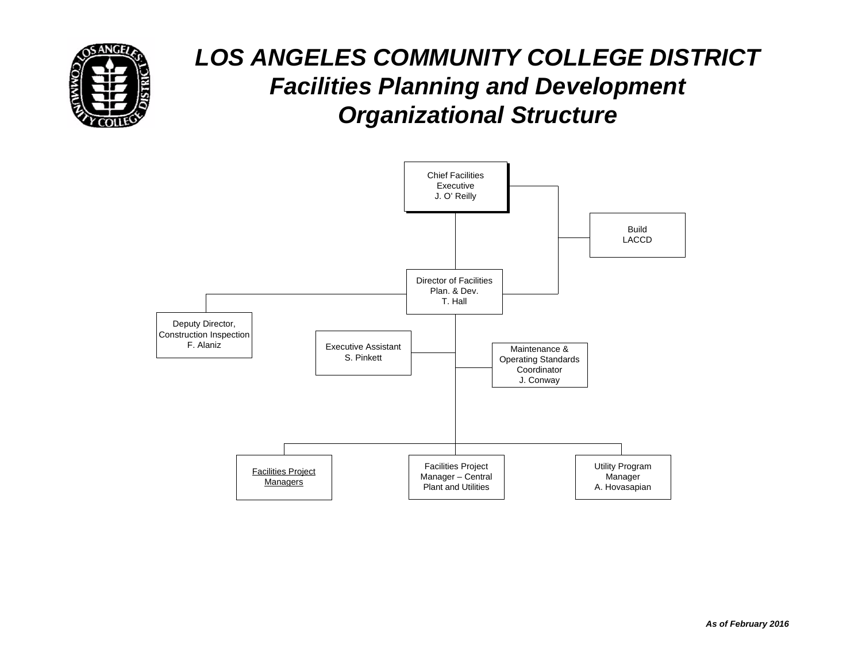

## *LOS ANGELES COMMUNITY COLLEGE DISTRICT Facilities Planning and Development Organizational Structure*

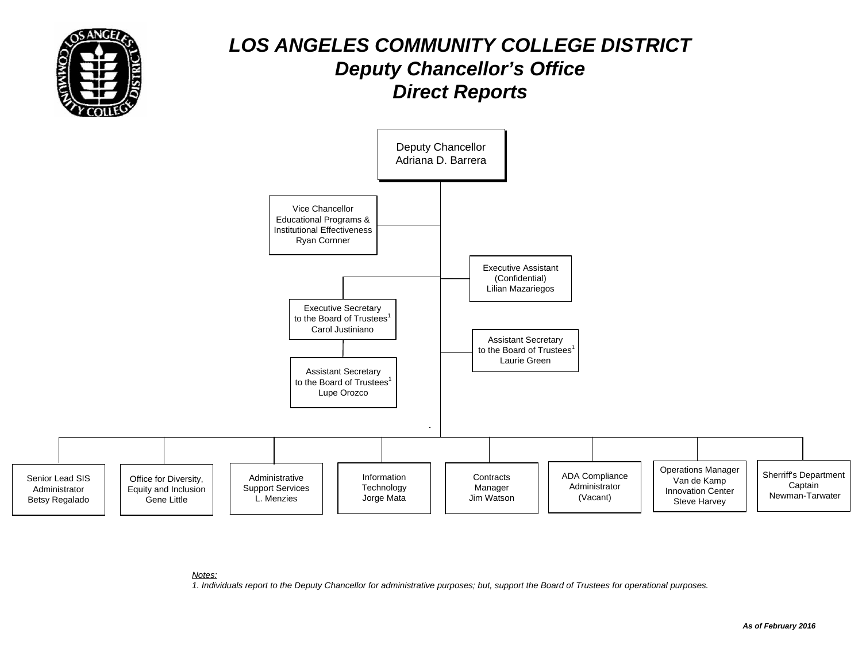

#### *LOS ANGELES COMMUNITY COLLEGE DISTRICT Deputy Chancellor's Office Direct Reports*



#### *Notes:*

*1. Individuals report to the Deputy Chancellor for administrative purposes; but, support the Board of Trustees for operational purposes.*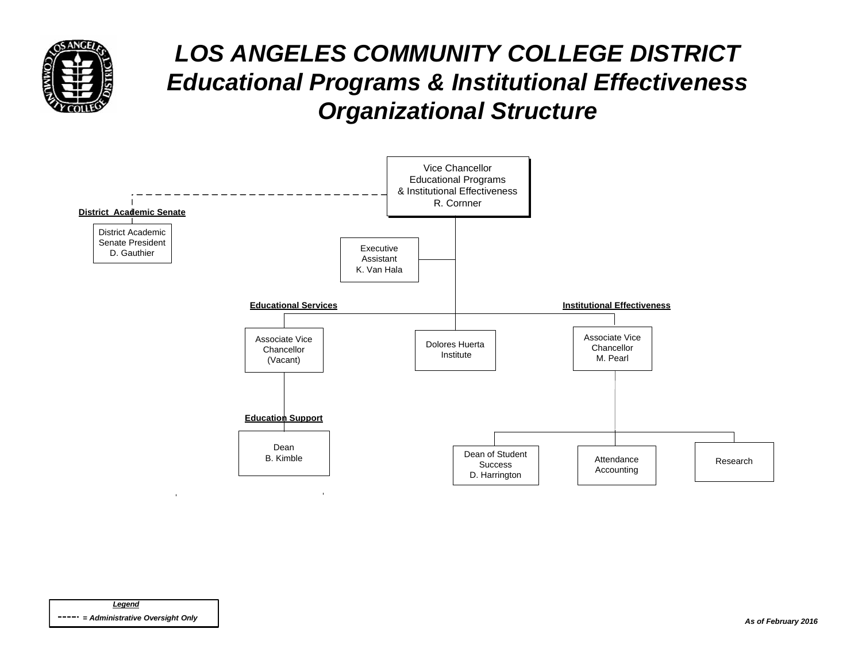

### *LOS ANGELES COMMUNITY COLLEGE DISTRICT Educational Programs & Institutional Effectiveness Organizational Structure*

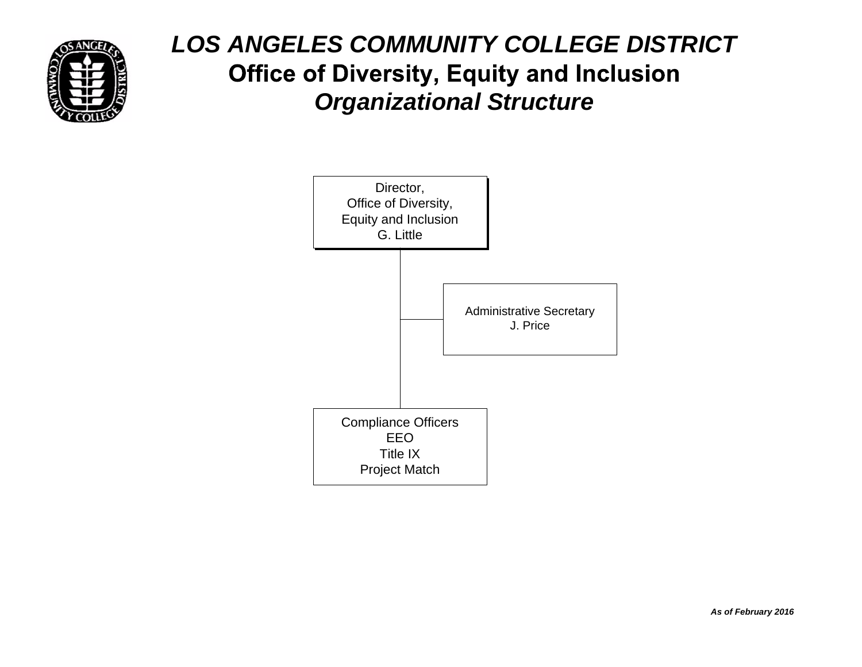

## *LOS ANGELES COMMUNITY COLLEGE DISTRICT*  **Office of Diversity, Equity and Inclusion** *Organizational Structure*

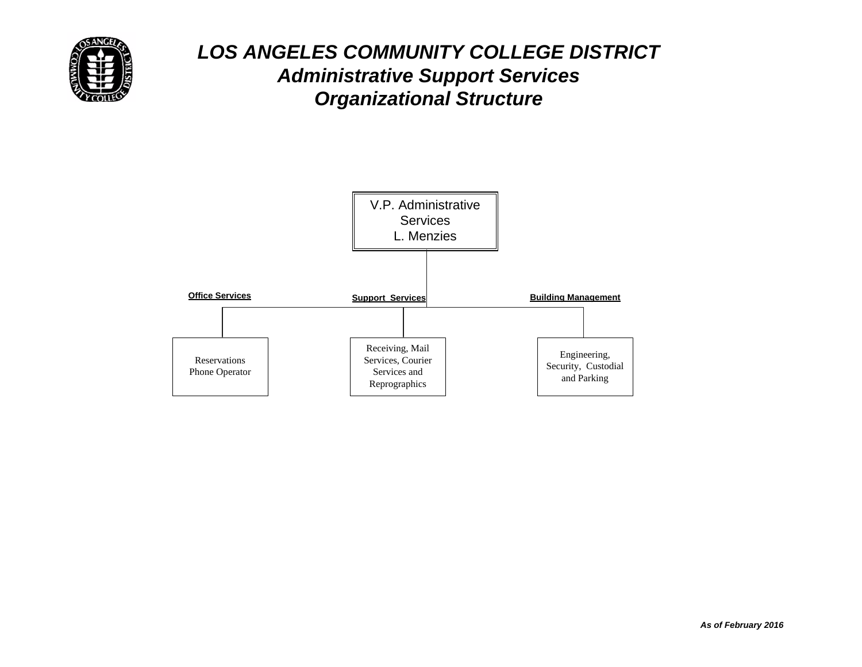

#### *LOS ANGELES COMMUNITY COLLEGE DISTRICT Administrative Support Services Organizational Structure*

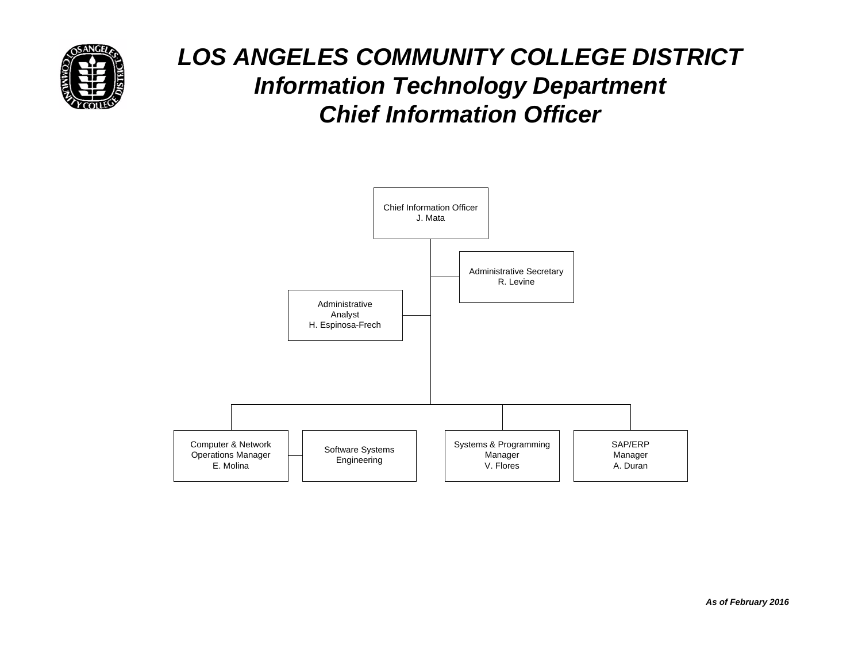

### *LOS ANGELES COMMUNITY COLLEGE DISTRICT Information Technology Department Chief Information Officer*